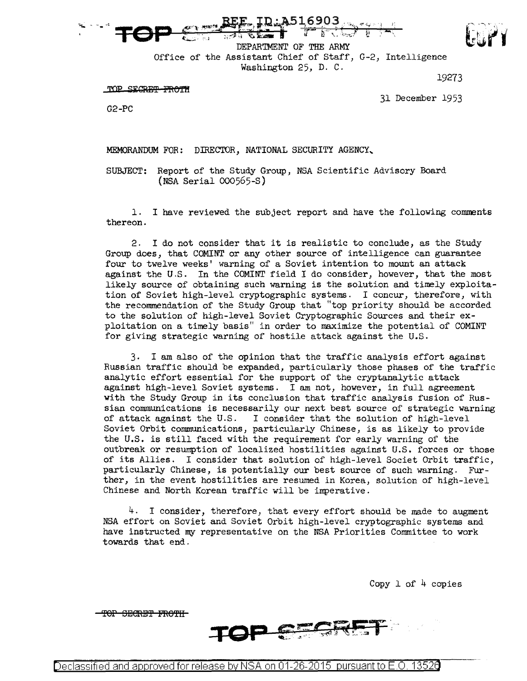$\begin{split} \mathsf{T}\mathsf{OP} \Longleftrightarrow \mathbb{E}^\mathsf{FE}, \mathsf{ID}:\mathsf{A516903} \longrightarrow \mathsf{T}^\mathsf{I} \end{split}$ 

DEPARTMENT OF THE ARMY Office of the Assistant Chief of Staff, G-2, Intelligence Washington 25, D. C.

**WP SECRE':P PRO'!'H** 

19273

31 December 1953

G2-PC

MEMORANDUM FOR: DIRECTOR, NATIONAL SECURITY AGENCY

SUBJECT: Report of the Study Group, NSA Scientific Advisory Board (NSA Serial 000565-s)

1. I have reviewed the subject report and have the following comments thereon.

2. I do not consider that it is realistic to conclude, as the Study Group does, that COMINT or any other source of intelligence can guarantee four to twelve weeks' warning of a Soviet intention to mount an attack against the U.S. In the COMINT field I do consider, however, that the most likely source of obtaining such warning is the solution and timely exploitation of Soviet high-level cryptographic systems. I concur, therefore, with the recommendation of the Study Group that "top priority should be accorded to the solution of high-level Soviet Cryptographic Sources and their exploitation on a timely basis" in order to maximize the potential of COMINT for giving strategic warning of hostile attack against the U.S.

3. I am also of the opinion that the traffic analysis effort against Russian traffic should be expanded, particularly those phases of the traffic analytic effort essential for the support of the cryptanalytic attack against high-level Soviet systems. I am not, however, in full agreement with the Study Group in its conclusion that traffic analysis fusion of Russian communications is necessarily our next best source of strategic warning of attack against the U.S. I consider that the solution of high-level Soviet Orbit communications, particularly Chinese, is as likely to provide the U.S. is still faced with the requirement for early warning of the outbreak or resumption of localized hostilities against U.S. forces or those of its Allies. I consider that solution of high-level Societ Orbit traffic, particularly Chinese, is potentially our best source of such warning. Further, in the event hostilities are resumed in Korea, solution of high-level Chinese and North Korean traffic will be imperative.

 $4.$  I consider, therefore, that every effort should be made to augment NSA effort on Soviet and Soviet Orbit high-level cryptographic systems and have instructed my representative on the NSA Priorities Committee to work towards that end.

Copy  $1$  of  $4$  copies

**'fOP SECR:8'f PRO'flf**